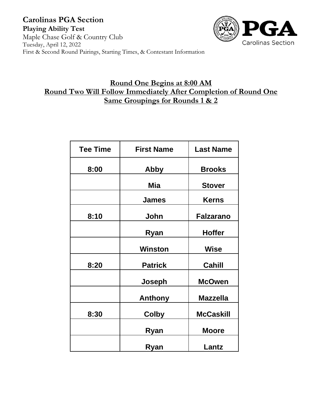

## **Round One Begins at 8:00 AM Round Two Will Follow Immediately After Completion of Round One Same Groupings for Rounds 1 & 2**

| <b>Tee Time</b> | <b>First Name</b> | <b>Last Name</b> |
|-----------------|-------------------|------------------|
| 8:00            | Abby              | <b>Brooks</b>    |
|                 | Mia               | <b>Stover</b>    |
|                 | <b>James</b>      | <b>Kerns</b>     |
| 8:10            | John              | <b>Falzarano</b> |
|                 | Ryan              | <b>Hoffer</b>    |
|                 | <b>Winston</b>    | Wise             |
| 8:20            | <b>Patrick</b>    | Cahill           |
|                 | Joseph            | <b>McOwen</b>    |
|                 | <b>Anthony</b>    | <b>Mazzella</b>  |
| 8:30            | <b>Colby</b>      | <b>McCaskill</b> |
|                 | Ryan              | <b>Moore</b>     |
|                 | Ryan              | Lantz            |